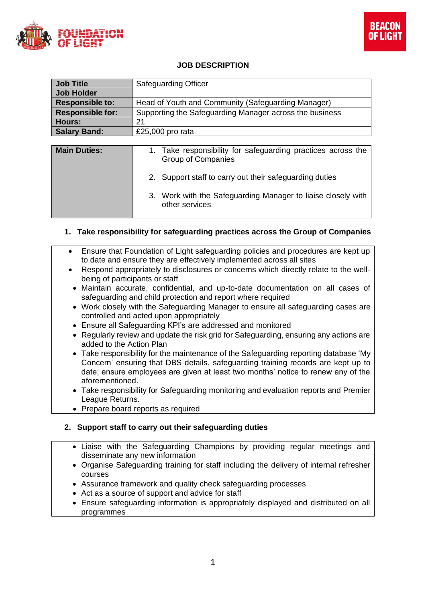



## **JOB DESCRIPTION**

| <b>Job Title</b>        | <b>Safeguarding Officer</b>                             |
|-------------------------|---------------------------------------------------------|
| <b>Job Holder</b>       |                                                         |
| <b>Responsible to:</b>  | Head of Youth and Community (Safeguarding Manager)      |
| <b>Responsible for:</b> | Supporting the Safeguarding Manager across the business |
| Hours:                  | 21                                                      |
| <b>Salary Band:</b>     | £25,000 pro rata                                        |
|                         |                                                         |

| <b>Main Duties:</b> | 1. Take responsibility for safeguarding practices across the<br>Group of Companies |
|---------------------|------------------------------------------------------------------------------------|
|                     | 2. Support staff to carry out their safeguarding duties                            |
|                     | 3. Work with the Safeguarding Manager to liaise closely with<br>other services     |

## **1. Take responsibility for safeguarding practices across the Group of Companies**

- Ensure that Foundation of Light safeguarding policies and procedures are kept up to date and ensure they are effectively implemented across all sites
- Respond appropriately to disclosures or concerns which directly relate to the wellbeing of participants or staff
- Maintain accurate, confidential, and up-to-date documentation on all cases of safeguarding and child protection and report where required
- Work closely with the Safeguarding Manager to ensure all safeguarding cases are controlled and acted upon appropriately
- Ensure all Safeguarding KPI's are addressed and monitored
- Regularly review and update the risk grid for Safeguarding, ensuring any actions are added to the Action Plan
- Take responsibility for the maintenance of the Safeguarding reporting database 'My Concern' ensuring that DBS details, safeguarding training records are kept up to date; ensure employees are given at least two months' notice to renew any of the aforementioned.
- Take responsibility for Safeguarding monitoring and evaluation reports and Premier League Returns.
- Prepare board reports as required

## **2. Support staff to carry out their safeguarding duties**

- Liaise with the Safeguarding Champions by providing regular meetings and disseminate any new information
- Organise Safeguarding training for staff including the delivery of internal refresher courses
- Assurance framework and quality check safeguarding processes
- Act as a source of support and advice for staff
- Ensure safeguarding information is appropriately displayed and distributed on all programmes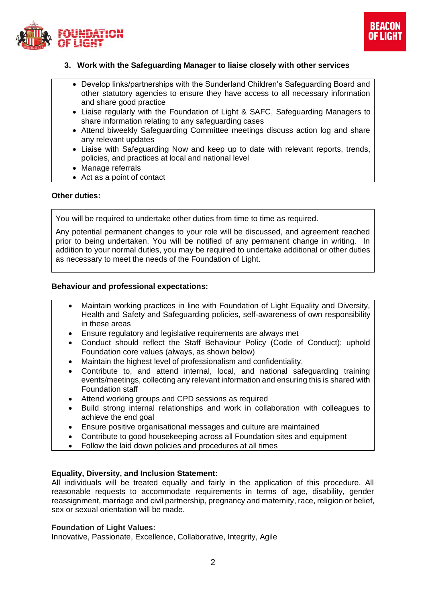



## **3. Work with the Safeguarding Manager to liaise closely with other services**

- Develop links/partnerships with the Sunderland Children's Safeguarding Board and other statutory agencies to ensure they have access to all necessary information and share good practice
- Liaise regularly with the Foundation of Light & SAFC, Safeguarding Managers to share information relating to any safeguarding cases
- Attend biweekly Safeguarding Committee meetings discuss action log and share any relevant updates
- Liaise with Safeguarding Now and keep up to date with relevant reports, trends, policies, and practices at local and national level
- Manage referrals
- Act as a point of contact

#### **Other duties:**

You will be required to undertake other duties from time to time as required.

Any potential permanent changes to your role will be discussed, and agreement reached prior to being undertaken. You will be notified of any permanent change in writing. In addition to your normal duties, you may be required to undertake additional or other duties as necessary to meet the needs of the Foundation of Light.

#### **Behaviour and professional expectations:**

- Maintain working practices in line with Foundation of Light Equality and Diversity, Health and Safety and Safeguarding policies, self-awareness of own responsibility in these areas
- Ensure regulatory and legislative requirements are always met
- Conduct should reflect the Staff Behaviour Policy (Code of Conduct); uphold Foundation core values (always, as shown below)
- Maintain the highest level of professionalism and confidentiality.
- Contribute to, and attend internal, local, and national safeguarding training events/meetings, collecting any relevant information and ensuring this is shared with Foundation staff
- Attend working groups and CPD sessions as required
- Build strong internal relationships and work in collaboration with colleagues to achieve the end goal
- Ensure positive organisational messages and culture are maintained
- Contribute to good housekeeping across all Foundation sites and equipment
- Follow the laid down policies and procedures at all times

#### **Equality, Diversity, and Inclusion Statement:**

All individuals will be treated equally and fairly in the application of this procedure. All reasonable requests to accommodate requirements in terms of age, disability, gender reassignment, marriage and civil partnership, pregnancy and maternity, race, religion or belief, sex or sexual orientation will be made.

#### **Foundation of Light Values:**

Innovative, Passionate, Excellence, Collaborative, Integrity, Agile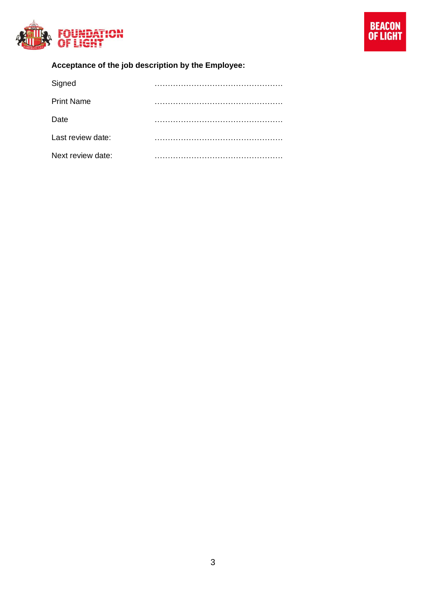

# **Acceptance of the job description by the Employee:**

| Signed            |  |
|-------------------|--|
| <b>Print Name</b> |  |
| Date              |  |
| Last review date: |  |
| Next review date: |  |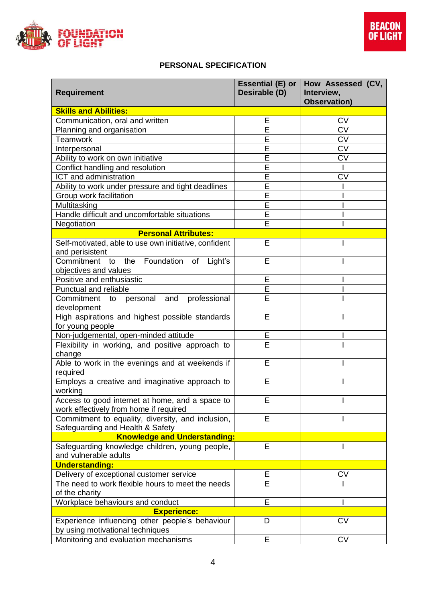

# **PERSONAL SPECIFICATION**

| <b>Requirement</b>                                                                        | Essential (E) or $ $<br>Desirable (D) | How Assessed (CV,<br>Interview,<br><b>Observation)</b> |  |  |
|-------------------------------------------------------------------------------------------|---------------------------------------|--------------------------------------------------------|--|--|
| <b>Skills and Abilities:</b>                                                              |                                       |                                                        |  |  |
| Communication, oral and written                                                           | E                                     | <b>CV</b>                                              |  |  |
| Planning and organisation                                                                 | E                                     | <b>CV</b>                                              |  |  |
| Teamwork                                                                                  | E                                     | <b>CV</b>                                              |  |  |
| Interpersonal                                                                             | E                                     | CV                                                     |  |  |
| Ability to work on own initiative                                                         | Ē                                     | <b>CV</b>                                              |  |  |
| Conflict handling and resolution                                                          | E                                     |                                                        |  |  |
| ICT and administration                                                                    | Ē                                     | <b>CV</b>                                              |  |  |
| Ability to work under pressure and tight deadlines                                        | E                                     |                                                        |  |  |
| Group work facilitation                                                                   | $\overline{\mathsf{E}}$               |                                                        |  |  |
| Multitasking                                                                              | $\overline{E}$                        |                                                        |  |  |
| Handle difficult and uncomfortable situations                                             | E                                     |                                                        |  |  |
| Negotiation                                                                               | E                                     |                                                        |  |  |
| <b>Personal Attributes:</b>                                                               |                                       |                                                        |  |  |
| Self-motivated, able to use own initiative, confident<br>and perisistent                  | Е                                     |                                                        |  |  |
| Commitment to the Foundation of Light's<br>objectives and values                          | E                                     |                                                        |  |  |
| Positive and enthusiastic                                                                 | E                                     |                                                        |  |  |
| Punctual and reliable                                                                     | E                                     |                                                        |  |  |
| Commitment to personal and<br>professional                                                | E                                     |                                                        |  |  |
| development                                                                               |                                       |                                                        |  |  |
| High aspirations and highest possible standards<br>for young people                       | E                                     |                                                        |  |  |
| Non-judgemental, open-minded attitude                                                     | E                                     |                                                        |  |  |
| Flexibility in working, and positive approach to<br>change                                | E                                     |                                                        |  |  |
| Able to work in the evenings and at weekends if<br>required                               | E                                     |                                                        |  |  |
| Employs a creative and imaginative approach to<br>working                                 | E                                     |                                                        |  |  |
| Access to good internet at home, and a space to<br>work effectively from home if required | E                                     |                                                        |  |  |
| Commitment to equality, diversity, and inclusion,<br>Safeguarding and Health & Safety     | E                                     |                                                        |  |  |
| <b>Knowledge and Understanding:</b>                                                       |                                       |                                                        |  |  |
| Safeguarding knowledge children, young people,<br>and vulnerable adults                   | $\overline{E}$                        |                                                        |  |  |
| <b>Understanding:</b>                                                                     |                                       |                                                        |  |  |
| Delivery of exceptional customer service                                                  | Ε                                     | CV                                                     |  |  |
| The need to work flexible hours to meet the needs<br>of the charity                       | E                                     |                                                        |  |  |
| Workplace behaviours and conduct                                                          | E                                     |                                                        |  |  |
| <b>Experience:</b>                                                                        |                                       |                                                        |  |  |
| Experience influencing other people's behaviour<br>by using motivational techniques       | D                                     | <b>CV</b>                                              |  |  |
| Monitoring and evaluation mechanisms                                                      | Е                                     | <b>CV</b>                                              |  |  |